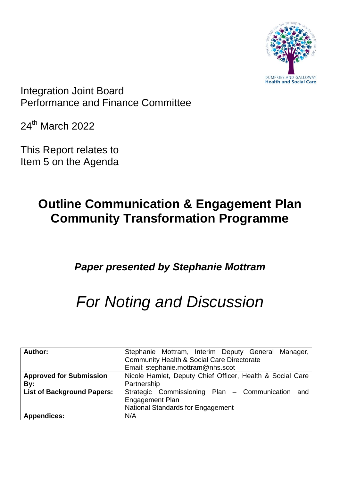

Integration Joint Board Performance and Finance Committee

24th March 2022

This Report relates to Item 5 on the Agenda

## **Outline Communication & Engagement Plan Community Transformation Programme**

### *Paper presented by Stephanie Mottram*

# *For Noting and Discussion*

| Author:                           | Stephanie Mottram, Interim Deputy General Manager,        |
|-----------------------------------|-----------------------------------------------------------|
|                                   | <b>Community Health &amp; Social Care Directorate</b>     |
|                                   | Email: stephanie.mottram@nhs.scot                         |
| <b>Approved for Submission</b>    | Nicole Hamlet, Deputy Chief Officer, Health & Social Care |
| By:                               | Partnership                                               |
| <b>List of Background Papers:</b> | Strategic Commissioning Plan - Communication and          |
|                                   | <b>Engagement Plan</b>                                    |
|                                   | National Standards for Engagement                         |
| <b>Appendices:</b>                | N/A                                                       |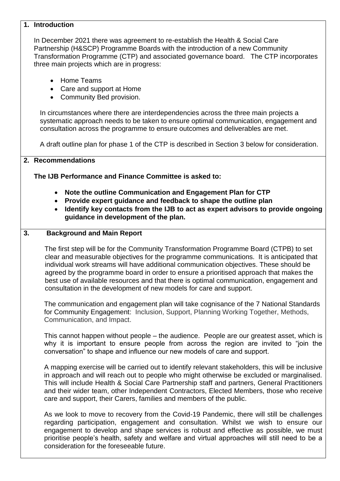#### **1. Introduction**

In December 2021 there was agreement to re-establish the Health & Social Care Partnership (H&SCP) Programme Boards with the introduction of a new Community Transformation Programme (CTP) and associated governance board. The CTP incorporates three main projects which are in progress:

- Home Teams
- Care and support at Home
- Community Bed provision.

In circumstances where there are interdependencies across the three main projects a systematic approach needs to be taken to ensure optimal communication, engagement and consultation across the programme to ensure outcomes and deliverables are met.

A draft outline plan for phase 1 of the CTP is described in Section 3 below for consideration.

#### **2. Recommendations**

**The IJB Performance and Finance Committee is asked to:**

- **Note the outline Communication and Engagement Plan for CTP**
- **Provide expert guidance and feedback to shape the outline plan**
- **Identify key contacts from the IJB to act as expert advisors to provide ongoing guidance in development of the plan.**

#### **3. Background and Main Report**

 The first step will be for the Community Transformation Programme Board (CTPB) to set clear and measurable objectives for the programme communications. It is anticipated that individual work streams will have additional communication objectives. These should be agreed by the programme board in order to ensure a prioritised approach that makes the best use of available resources and that there is optimal communication, engagement and consultation in the development of new models for care and support.

The communication and engagement plan will take cognisance of the 7 National Standards for Community Engagement: Inclusion, Support, Planning Working Together, Methods, Communication, and Impact.

This cannot happen without people – the audience. People are our greatest asset, which is why it is important to ensure people from across the region are invited to "join the conversation" to shape and influence our new models of care and support.

A mapping exercise will be carried out to identify relevant stakeholders, this will be inclusive in approach and will reach out to people who might otherwise be excluded or marginalised. This will include Health & Social Care Partnership staff and partners, General Practitioners and their wider team, other Independent Contractors, Elected Members, those who receive care and support, their Carers, families and members of the public.

As we look to move to recovery from the Covid-19 Pandemic, there will still be challenges regarding participation, engagement and consultation. Whilst we wish to ensure our engagement to develop and shape services is robust and effective as possible, we must prioritise people's health, safety and welfare and virtual approaches will still need to be a consideration for the foreseeable future.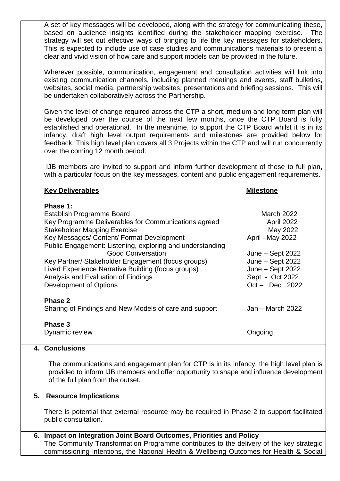A set of key messages will be developed, along with the strategy for communicating these, based on audience insights identified during the stakeholder mapping exercise. The strategy will set out effective ways of bringing to life the key messages for stakeholders. This is expected to include use of case studies and communications materials to present a clear and vivid vision of how care and support models can be provided in the future.

Wherever possible, communication, engagement and consultation activities will link into existing communication channels, including planned meetings and events, staff bulletins, websites, social media, partnership websites, presentations and briefing sessions. This will be undertaken collaboratively across the Partnership.

Given the level of change required across the CTP a short, medium and long term plan will be developed over the course of the next few months, once the CTP Board is fully established and operational. In the meantime, to support the CTP Board whilst it is in its infancy, draft high level output requirements and milestones are provided below for feedback. This high level plan covers all 3 Projects within the CTP and will run concurrently over the coming 12 month period.

IJB members are invited to support and inform further development of these to full plan, with a particular focus on the key messages, content and public engagement requirements.

#### **Key Deliverables** Milestone

**Phase 1:** Establish Programme Board March 2022 Key Programme Deliverables for Communications agreed April 2022 Stakeholder Mapping Exercise May 2022 Key Messages/ Content/ Format Development May 2022 Public Engagement: Listening, exploring and understanding Good Conversation **Good Conversation June – Sept 2022** Key Partner/ Stakeholder Engagement (focus groups) June – Sept 2022 Lived Experience Narrative Building (focus groups) June – Sept 2022 Analysis and Evaluation of Findings North Controllery Sept - Oct 2022 Development of Options **Development** of Options **Oct** – Dec 2022 **Phase 2** Sharing of Findings and New Models of care and support Jan – March 2022 **Phase 3** Dynamic review **Ongoing** 

#### **4. Conclusions**

The communications and engagement plan for CTP is in its infancy, the high level plan is provided to inform IJB members and offer opportunity to shape and influence development of the full plan from the outset.

#### **5. Resource Implications**

There is potential that external resource may be required in Phase 2 to support facilitated public consultation.

**6. Impact on Integration Joint Board Outcomes, Priorities and Policy** The Community Transformation Programme contributes to the delivery of the key strategic commissioning intentions, the National Health & Wellbeing Outcomes for Health & Social